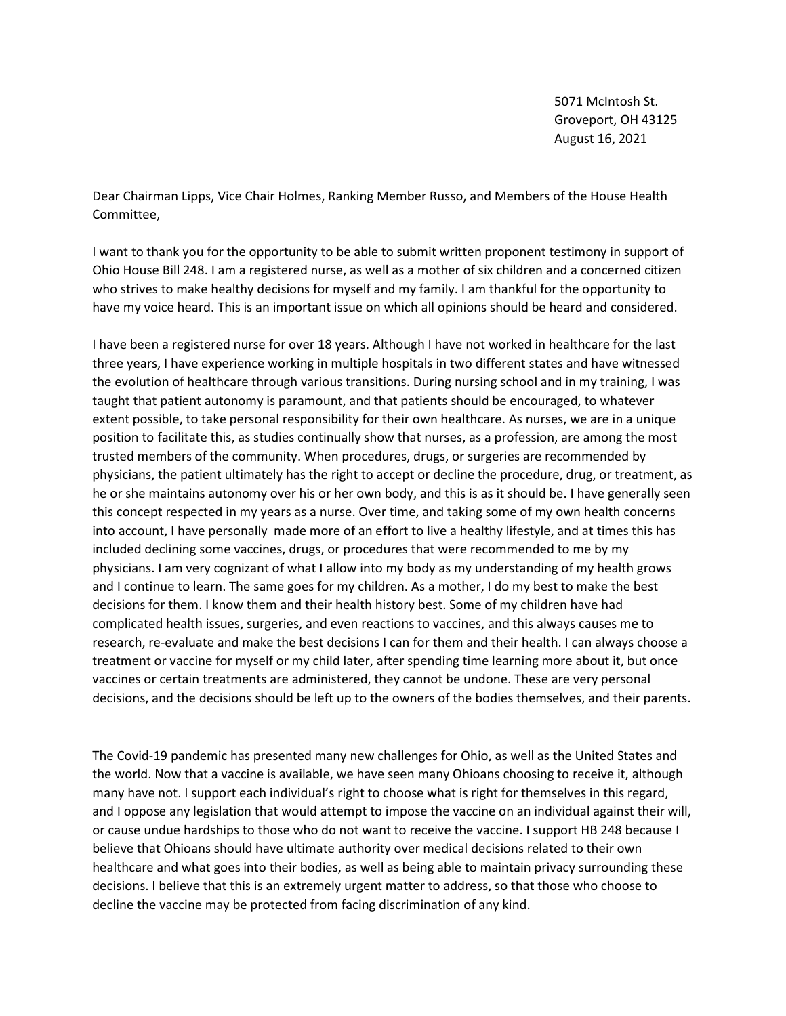5071 McIntosh St. Groveport, OH 43125 August 16, 2021

Dear Chairman Lipps, Vice Chair Holmes, Ranking Member Russo, and Members of the House Health Committee,

I want to thank you for the opportunity to be able to submit written proponent testimony in support of Ohio House Bill 248. I am a registered nurse, as well as a mother of six children and a concerned citizen who strives to make healthy decisions for myself and my family. I am thankful for the opportunity to have my voice heard. This is an important issue on which all opinions should be heard and considered.

I have been a registered nurse for over 18 years. Although I have not worked in healthcare for the last three years, I have experience working in multiple hospitals in two different states and have witnessed the evolution of healthcare through various transitions. During nursing school and in my training, I was taught that patient autonomy is paramount, and that patients should be encouraged, to whatever extent possible, to take personal responsibility for their own healthcare. As nurses, we are in a unique position to facilitate this, as studies continually show that nurses, as a profession, are among the most trusted members of the community. When procedures, drugs, or surgeries are recommended by physicians, the patient ultimately has the right to accept or decline the procedure, drug, or treatment, as he or she maintains autonomy over his or her own body, and this is as it should be. I have generally seen this concept respected in my years as a nurse. Over time, and taking some of my own health concerns into account, I have personally made more of an effort to live a healthy lifestyle, and at times this has included declining some vaccines, drugs, or procedures that were recommended to me by my physicians. I am very cognizant of what I allow into my body as my understanding of my health grows and I continue to learn. The same goes for my children. As a mother, I do my best to make the best decisions for them. I know them and their health history best. Some of my children have had complicated health issues, surgeries, and even reactions to vaccines, and this always causes me to research, re-evaluate and make the best decisions I can for them and their health. I can always choose a treatment or vaccine for myself or my child later, after spending time learning more about it, but once vaccines or certain treatments are administered, they cannot be undone. These are very personal decisions, and the decisions should be left up to the owners of the bodies themselves, and their parents.

The Covid-19 pandemic has presented many new challenges for Ohio, as well as the United States and the world. Now that a vaccine is available, we have seen many Ohioans choosing to receive it, although many have not. I support each individual's right to choose what is right for themselves in this regard, and I oppose any legislation that would attempt to impose the vaccine on an individual against their will, or cause undue hardships to those who do not want to receive the vaccine. I support HB 248 because I believe that Ohioans should have ultimate authority over medical decisions related to their own healthcare and what goes into their bodies, as well as being able to maintain privacy surrounding these decisions. I believe that this is an extremely urgent matter to address, so that those who choose to decline the vaccine may be protected from facing discrimination of any kind.